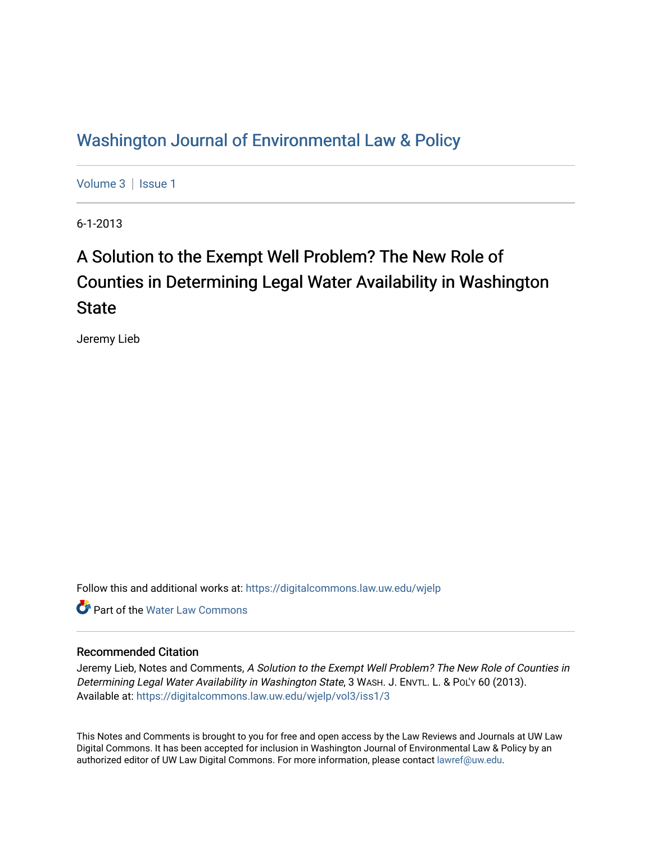## [Washington Journal of Environmental Law & Policy](https://digitalcommons.law.uw.edu/wjelp)

[Volume 3](https://digitalcommons.law.uw.edu/wjelp/vol3) | Issue 1

6-1-2013

# A Solution to the Exempt Well Problem? The New Role of Counties in Determining Legal Water Availability in Washington State

Jeremy Lieb

Follow this and additional works at: [https://digitalcommons.law.uw.edu/wjelp](https://digitalcommons.law.uw.edu/wjelp?utm_source=digitalcommons.law.uw.edu%2Fwjelp%2Fvol3%2Fiss1%2F3&utm_medium=PDF&utm_campaign=PDFCoverPages)

**C** Part of the Water Law Commons

## Recommended Citation

Jeremy Lieb, Notes and Comments, A Solution to the Exempt Well Problem? The New Role of Counties in Determining Legal Water Availability in Washington State, 3 WASH. J. ENVTL. L. & POL'Y 60 (2013). Available at: [https://digitalcommons.law.uw.edu/wjelp/vol3/iss1/3](https://digitalcommons.law.uw.edu/wjelp/vol3/iss1/3?utm_source=digitalcommons.law.uw.edu%2Fwjelp%2Fvol3%2Fiss1%2F3&utm_medium=PDF&utm_campaign=PDFCoverPages)

This Notes and Comments is brought to you for free and open access by the Law Reviews and Journals at UW Law Digital Commons. It has been accepted for inclusion in Washington Journal of Environmental Law & Policy by an authorized editor of UW Law Digital Commons. For more information, please contact [lawref@uw.edu.](mailto:lawref@uw.edu)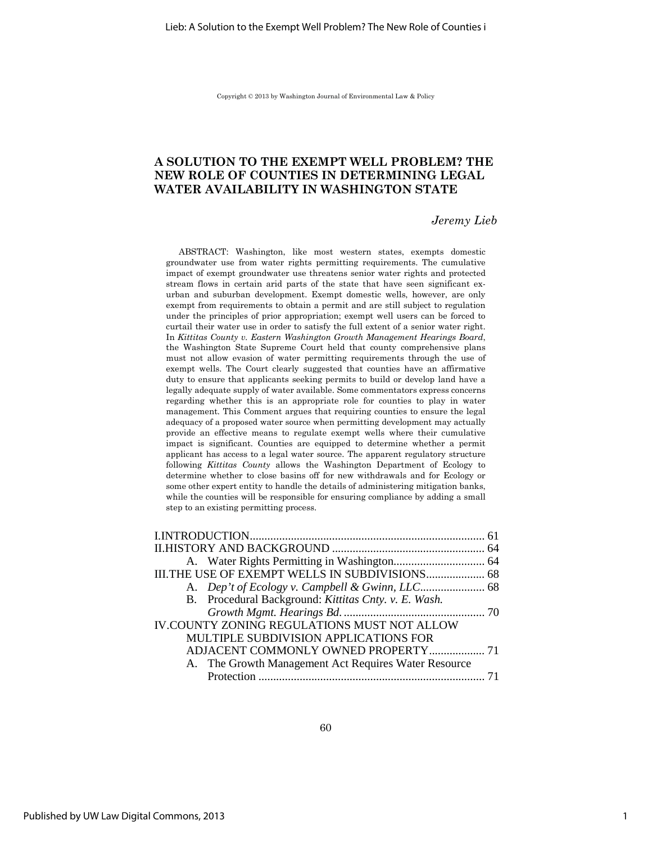Copyright © 2013 by Washington Journal of Environmental Law & Policy

## **A SOLUTION TO THE EXEMPT WELL PROBLEM? THE NEW ROLE OF COUNTIES IN DETERMINING LEGAL WATER AVAILABILITY IN WASHINGTON STATE**

## *Jeremy Lieb*

ABSTRACT: Washington, like most western states, exempts domestic groundwater use from water rights permitting requirements. The cumulative impact of exempt groundwater use threatens senior water rights and protected stream flows in certain arid parts of the state that have seen significant exurban and suburban development. Exempt domestic wells, however, are only exempt from requirements to obtain a permit and are still subject to regulation under the principles of prior appropriation; exempt well users can be forced to curtail their water use in order to satisfy the full extent of a senior water right. In *Kittitas County v. Eastern Washington Growth Management Hearings Board*, the Washington State Supreme Court held that county comprehensive plans must not allow evasion of water permitting requirements through the use of exempt wells. The Court clearly suggested that counties have an affirmative duty to ensure that applicants seeking permits to build or develop land have a legally adequate supply of water available. Some commentators express concerns regarding whether this is an appropriate role for counties to play in water management. This Comment argues that requiring counties to ensure the legal adequacy of a proposed water source when permitting development may actually provide an effective means to regulate exempt wells where their cumulative impact is significant. Counties are equipped to determine whether a permit applicant has access to a legal water source. The apparent regulatory structure following *Kittitas County* allows the Washington Department of Ecology to determine whether to close basins off for new withdrawals and for Ecology or some other expert entity to handle the details of administering mitigation banks, while the counties will be responsible for ensuring compliance by adding a small step to an existing permitting process.

| III.THE USE OF EXEMPT WELLS IN SUBDIVISIONS 68       |  |
|------------------------------------------------------|--|
|                                                      |  |
| B. Procedural Background: Kittitas Cnty. v. E. Wash. |  |
|                                                      |  |
| IV.COUNTY ZONING REGULATIONS MUST NOT ALLOW          |  |
| MULTIPLE SUBDIVISION APPLICATIONS FOR                |  |
|                                                      |  |
| A. The Growth Management Act Requires Water Resource |  |
|                                                      |  |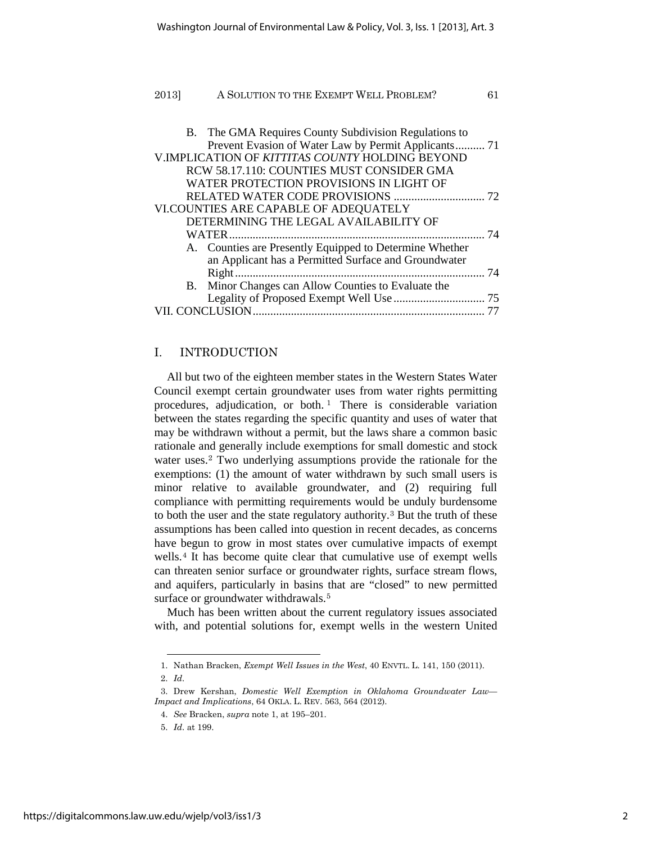| 2013] | A SOLUTION TO THE EXEMPT WELL PROBLEM?                  | 61 |
|-------|---------------------------------------------------------|----|
|       |                                                         |    |
|       | B. The GMA Requires County Subdivision Regulations to   |    |
|       | Prevent Evasion of Water Law by Permit Applicants 71    |    |
|       | V.IMPLICATION OF KITTITAS COUNTY HOLDING BEYOND         |    |
|       | RCW 58.17.110: COUNTIES MUST CONSIDER GMA               |    |
|       | WATER PROTECTION PROVISIONS IN LIGHT OF                 |    |
|       |                                                         |    |
|       | VI.COUNTIES ARE CAPABLE OF ADEQUATELY                   |    |
|       | DETERMINING THE LEGAL AVAILABILITY OF                   |    |
|       | WATER                                                   |    |
|       | A. Counties are Presently Equipped to Determine Whether |    |
|       | an Applicant has a Permitted Surface and Groundwater    |    |
|       | Right.                                                  | 74 |
|       | B. Minor Changes can Allow Counties to Evaluate the     |    |
|       |                                                         |    |
|       |                                                         |    |

## I. INTRODUCTION

All but two of the eighteen member states in the Western States Water Council exempt certain groundwater uses from water rights permitting procedures, adjudication, or both.<sup>1</sup> There is considerable variation between the states regarding the specific quantity and uses of water that may be withdrawn without a permit, but the laws share a common basic rationale and generally include exemptions for small domestic and stock water uses.<sup>2</sup> Two underlying assumptions provide the rationale for the exemptions: (1) the amount of water withdrawn by such small users is minor relative to available groundwater, and (2) requiring full compliance with permitting requirements would be unduly burdensome to both the user and the state regulatory authority.<sup>3</sup> But the truth of these assumptions has been called into question in recent decades, as concerns have begun to grow in most states over cumulative impacts of exempt wells.<sup>4</sup> It has become quite clear that cumulative use of exempt wells can threaten senior surface or groundwater rights, surface stream flows, and aquifers, particularly in basins that are "closed" to new permitted surface or groundwater withdrawals.<sup>5</sup>

Much has been written about the current regulatory issues associated with, and potential solutions for, exempt wells in the western United

<sup>1.</sup> Nathan Bracken, *Exempt Well Issues in the West*, 40 ENVTL. L. 141, 150 (2011). 2. *Id*.

<sup>3.</sup> Drew Kershan, *Domestic Well Exemption in Oklahoma Groundwater Law— Impact and Implications*, 64 OKLA. L. REV. 563, 564 (2012).

<sup>4.</sup> *See* Bracken, *supra* note 1, at 195–201.

<sup>5.</sup> *Id*. at 199.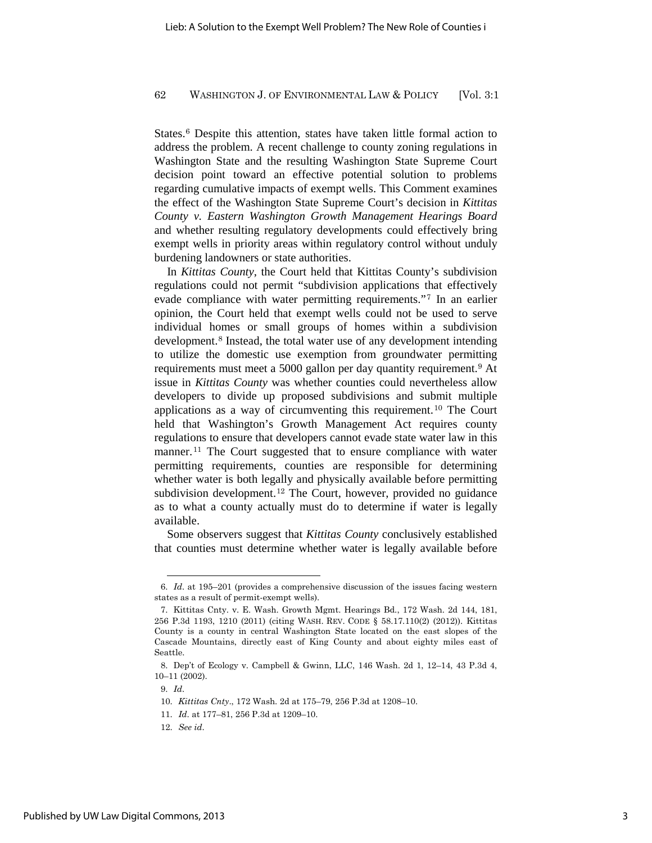States.<sup>6</sup> Despite this attention, states have taken little formal action to address the problem. A recent challenge to county zoning regulations in Washington State and the resulting Washington State Supreme Court decision point toward an effective potential solution to problems regarding cumulative impacts of exempt wells. This Comment examines the effect of the Washington State Supreme Court's decision in *Kittitas County v. Eastern Washington Growth Management Hearings Board* and whether resulting regulatory developments could effectively bring exempt wells in priority areas within regulatory control without unduly burdening landowners or state authorities.

In *Kittitas County*, the Court held that Kittitas County's subdivision regulations could not permit "subdivision applications that effectively evade compliance with water permitting requirements."<sup>7</sup> In an earlier opinion, the Court held that exempt wells could not be used to serve individual homes or small groups of homes within a subdivision development.<sup>8</sup> Instead, the total water use of any development intending to utilize the domestic use exemption from groundwater permitting requirements must meet a 5000 gallon per day quantity requirement.<sup>9</sup> At issue in *Kittitas County* was whether counties could nevertheless allow developers to divide up proposed subdivisions and submit multiple applications as a way of circumventing this requirement.<sup>10</sup> The Court held that Washington's Growth Management Act requires county regulations to ensure that developers cannot evade state water law in this manner.<sup>11</sup> The Court suggested that to ensure compliance with water permitting requirements, counties are responsible for determining whether water is both legally and physically available before permitting subdivision development.<sup>12</sup> The Court, however, provided no guidance as to what a county actually must do to determine if water is legally available.

Some observers suggest that *Kittitas County* conclusively established that counties must determine whether water is legally available before

<sup>6.</sup> *Id*. at 195–201 (provides a comprehensive discussion of the issues facing western states as a result of permit-exempt wells).

<sup>7.</sup> Kittitas Cnty. v. E. Wash. Growth Mgmt. Hearings Bd., 172 Wash. 2d 144, 181, 256 P.3d 1193, 1210 (2011) (citing WASH. REV. CODE § 58.17.110(2) (2012)). Kittitas County is a county in central Washington State located on the east slopes of the Cascade Mountains, directly east of King County and about eighty miles east of Seattle.

<sup>8.</sup> Dep't of Ecology v. Campbell & Gwinn, LLC, 146 Wash. 2d 1, 12–14, 43 P.3d 4, 10–11 (2002).

<sup>9.</sup> *Id*.

<sup>10.</sup> *Kittitas Cnty*., 172 Wash. 2d at 175–79, 256 P.3d at 1208–10.

<sup>11.</sup> *Id*. at 177–81, 256 P.3d at 1209–10.

<sup>12.</sup> *See id*.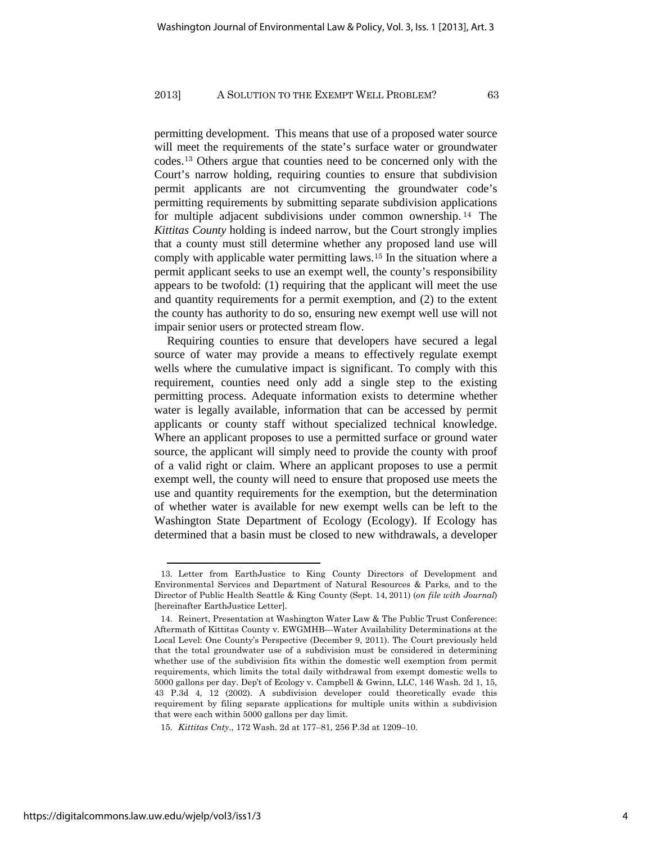permitting development. This means that use of a proposed water source will meet the requirements of the state's surface water or groundwater codes.<sup>13</sup> Others argue that counties need to be concerned only with the Court's narrow holding, requiring counties to ensure that subdivision permit applicants are not circumventing the groundwater code's permitting requirements by submitting separate subdivision applications for multiple adjacent subdivisions under common ownership. <sup>14</sup> The *Kittitas County* holding is indeed narrow, but the Court strongly implies that a county must still determine whether any proposed land use will comply with applicable water permitting laws.<sup>15</sup> In the situation where a permit applicant seeks to use an exempt well, the county's responsibility appears to be twofold: (1) requiring that the applicant will meet the use and quantity requirements for a permit exemption, and (2) to the extent the county has authority to do so, ensuring new exempt well use will not impair senior users or protected stream flow.

Requiring counties to ensure that developers have secured a legal source of water may provide a means to effectively regulate exempt wells where the cumulative impact is significant. To comply with this requirement, counties need only add a single step to the existing permitting process. Adequate information exists to determine whether water is legally available, information that can be accessed by permit applicants or county staff without specialized technical knowledge. Where an applicant proposes to use a permitted surface or ground water source, the applicant will simply need to provide the county with proof of a valid right or claim. Where an applicant proposes to use a permit exempt well, the county will need to ensure that proposed use meets the use and quantity requirements for the exemption, but the determination of whether water is available for new exempt wells can be left to the Washington State Department of Ecology (Ecology). If Ecology has determined that a basin must be closed to new withdrawals, a developer

<sup>13.</sup> Letter from EarthJustice to King County Directors of Development and Environmental Services and Department of Natural Resources & Parks, and to the Director of Public Health Seattle & King County (Sept. 14, 2011) (*on file with Journal*) [hereinafter EarthJustice Letter].

<sup>14.</sup> Reinert, Presentation at Washington Water Law & The Public Trust Conference: Aftermath of Kittitas County v. EWGMHB—Water Availability Determinations at the Local Level: One County's Perspective (December 9, 2011). The Court previously held that the total groundwater use of a subdivision must be considered in determining whether use of the subdivision fits within the domestic well exemption from permit requirements, which limits the total daily withdrawal from exempt domestic wells to 5000 gallons per day. Dep't of Ecology v. Campbell & Gwinn, LLC, 146 Wash. 2d 1, 15, 43 P.3d 4, 12 (2002). A subdivision developer could theoretically evade this requirement by filing separate applications for multiple units within a subdivision that were each within 5000 gallons per day limit.

<sup>15.</sup> *Kittitas Cnty*., 172 Wash. 2d at 177–81, 256 P.3d at 1209–10.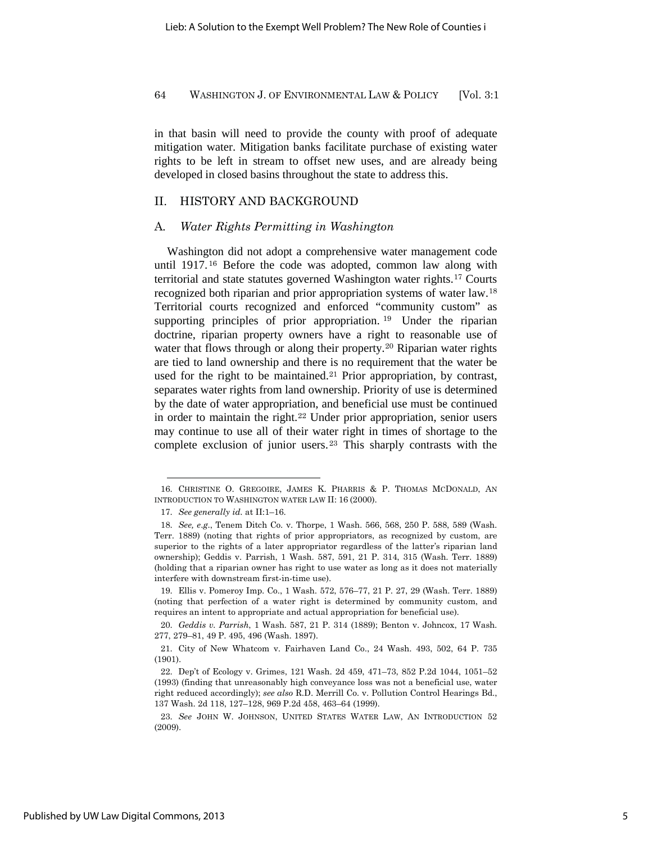in that basin will need to provide the county with proof of adequate mitigation water. Mitigation banks facilitate purchase of existing water rights to be left in stream to offset new uses, and are already being developed in closed basins throughout the state to address this.

## II. HISTORY AND BACKGROUND

## A*. Water Rights Permitting in Washington*

Washington did not adopt a comprehensive water management code until 1917. <sup>16</sup> Before the code was adopted, common law along with territorial and state statutes governed Washington water rights.<sup>17</sup> Courts recognized both riparian and prior appropriation systems of water law.<sup>18</sup> Territorial courts recognized and enforced "community custom" as supporting principles of prior appropriation.<sup>19</sup> Under the riparian doctrine, riparian property owners have a right to reasonable use of water that flows through or along their property.<sup>20</sup> Riparian water rights are tied to land ownership and there is no requirement that the water be used for the right to be maintained.<sup>21</sup> Prior appropriation, by contrast, separates water rights from land ownership. Priority of use is determined by the date of water appropriation, and beneficial use must be continued in order to maintain the right.<sup>22</sup> Under prior appropriation, senior users may continue to use all of their water right in times of shortage to the complete exclusion of junior users.<sup>23</sup> This sharply contrasts with the

<sup>16.</sup> CHRISTINE O. GREGOIRE, JAMES K. PHARRIS & P. THOMAS MCDONALD, AN INTRODUCTION TO WASHINGTON WATER LAW II: 16 (2000).

<sup>17.</sup> *See generally id*. at II:1–16.

<sup>18.</sup> *See, e*.*g*., Tenem Ditch Co. v. Thorpe, 1 Wash. 566, 568, 250 P. 588, 589 (Wash. Terr. 1889) (noting that rights of prior appropriators, as recognized by custom, are superior to the rights of a later appropriator regardless of the latter's riparian land ownership); Geddis v. Parrish, 1 Wash. 587, 591, 21 P. 314, 315 (Wash. Terr. 1889) (holding that a riparian owner has right to use water as long as it does not materially interfere with downstream first-in-time use).

<sup>19.</sup> Ellis v. Pomeroy Imp. Co., 1 Wash. 572, 576–77, 21 P. 27, 29 (Wash. Terr. 1889) (noting that perfection of a water right is determined by community custom, and requires an intent to appropriate and actual appropriation for beneficial use).

<sup>20.</sup> *Geddis v. Parrish*, 1 Wash. 587, 21 P. 314 (1889); Benton v. Johncox, 17 Wash. 277, 279–81, 49 P. 495, 496 (Wash. 1897).

<sup>21.</sup> City of New Whatcom v. Fairhaven Land Co., 24 Wash. 493, 502, 64 P. 735 (1901).

<sup>22.</sup> Dep't of Ecology v. Grimes, 121 Wash. 2d 459, 471–73, 852 P.2d 1044, 1051–52 (1993) (finding that unreasonably high conveyance loss was not a beneficial use, water right reduced accordingly); *see also* R.D. Merrill Co. v. Pollution Control Hearings Bd., 137 Wash. 2d 118, 127–128, 969 P.2d 458, 463–64 (1999).

<sup>23.</sup> *See* JOHN W. JOHNSON, UNITED STATES WATER LAW, AN INTRODUCTION 52 (2009).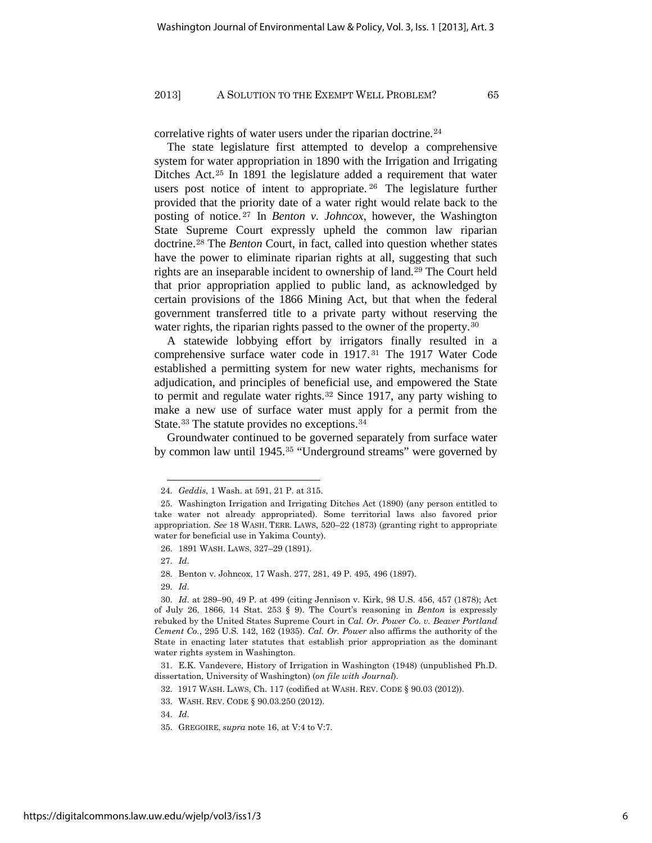correlative rights of water users under the riparian doctrine.<sup>24</sup>

The state legislature first attempted to develop a comprehensive system for water appropriation in 1890 with the Irrigation and Irrigating Ditches Act.<sup>25</sup> In 1891 the legislature added a requirement that water users post notice of intent to appropriate. <sup>26</sup> The legislature further provided that the priority date of a water right would relate back to the posting of notice. <sup>27</sup> In *Benton v. Johncox*, however, the Washington State Supreme Court expressly upheld the common law riparian doctrine.<sup>28</sup> The *Benton* Court, in fact, called into question whether states have the power to eliminate riparian rights at all, suggesting that such rights are an inseparable incident to ownership of land.<sup>29</sup> The Court held that prior appropriation applied to public land, as acknowledged by certain provisions of the 1866 Mining Act, but that when the federal government transferred title to a private party without reserving the water rights, the riparian rights passed to the owner of the property.<sup>30</sup>

A statewide lobbying effort by irrigators finally resulted in a comprehensive surface water code in 1917. <sup>31</sup> The 1917 Water Code established a permitting system for new water rights, mechanisms for adjudication, and principles of beneficial use, and empowered the State to permit and regulate water rights.<sup>32</sup> Since 1917, any party wishing to make a new use of surface water must apply for a permit from the State.<sup>33</sup> The statute provides no exceptions.<sup>34</sup>

Groundwater continued to be governed separately from surface water by common law until 1945.<sup>35</sup> "Underground streams" were governed by

27. *Id*.

29. *Id*.

<sup>24.</sup> *Geddis*, 1 Wash. at 591, 21 P. at 315.

<sup>25.</sup> Washington Irrigation and Irrigating Ditches Act (1890) (any person entitled to take water not already appropriated). Some territorial laws also favored prior appropriation. *See* 18 WASH. TERR. LAWS, 520–22 (1873) (granting right to appropriate water for beneficial use in Yakima County).

<sup>26. 1891</sup> WASH. LAWS, 327–29 (1891).

<sup>28.</sup> Benton v. Johncox, 17 Wash. 277, 281, 49 P. 495, 496 (1897).

<sup>30.</sup> *Id*. at 289–90, 49 P. at 499 (citing Jennison v. Kirk, 98 U.S. 456, 457 (1878); Act of July 26, 1866, 14 Stat. 253 § 9). The Court's reasoning in *Benton* is expressly rebuked by the United States Supreme Court in *Cal. Or. Power Co. v. Beaver Portland Cement Co.*, 295 U.S. 142, 162 (1935). *Cal. Or. Power* also affirms the authority of the State in enacting later statutes that establish prior appropriation as the dominant water rights system in Washington.

<sup>31.</sup> E.K. Vandevere, History of Irrigation in Washington (1948) (unpublished Ph.D. dissertation, University of Washington) (*on file with Journal*).

<sup>32. 1917</sup> WASH. LAWS, Ch. 117 (codified at WASH. REV. CODE § 90.03 (2012)).

<sup>33.</sup> WASH. REV. CODE § 90.03.250 (2012).

<sup>34.</sup> *Id*.

<sup>35.</sup> GREGOIRE, *supra* note 16, at V:4 to V:7.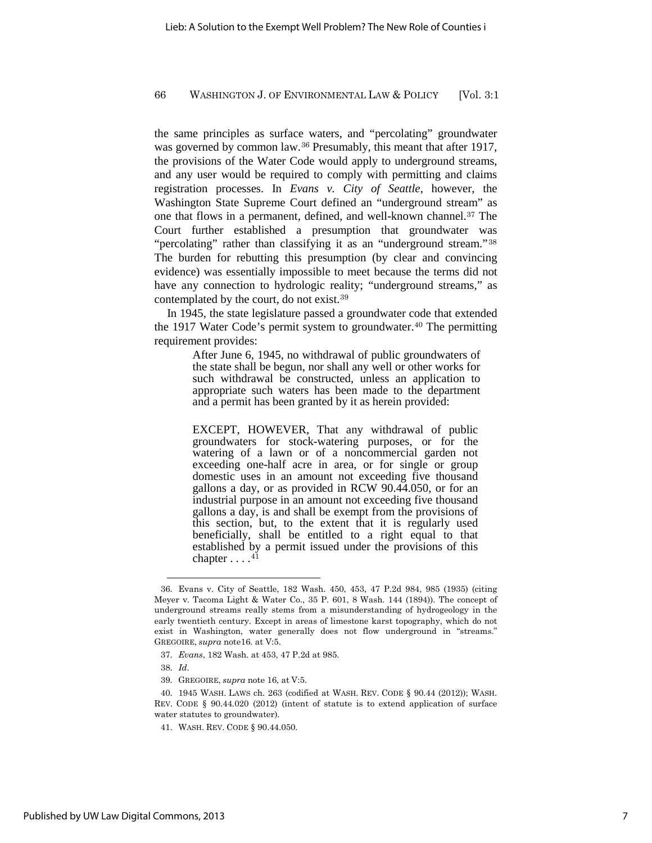the same principles as surface waters, and "percolating" groundwater was governed by common law.<sup>36</sup> Presumably, this meant that after 1917, the provisions of the Water Code would apply to underground streams, and any user would be required to comply with permitting and claims registration processes. In *Evans v. City of Seattle*, however, the Washington State Supreme Court defined an "underground stream" as one that flows in a permanent, defined, and well-known channel.<sup>37</sup> The Court further established a presumption that groundwater was "percolating" rather than classifying it as an "underground stream."<sup>38</sup> The burden for rebutting this presumption (by clear and convincing evidence) was essentially impossible to meet because the terms did not have any connection to hydrologic reality; "underground streams," as contemplated by the court, do not exist.<sup>39</sup>

In 1945, the state legislature passed a groundwater code that extended the 1917 Water Code's permit system to groundwater. $40$  The permitting requirement provides:

> After June 6, 1945, no withdrawal of public groundwaters of the state shall be begun, nor shall any well or other works for such withdrawal be constructed, unless an application to appropriate such waters has been made to the department and a permit has been granted by it as herein provided:

> EXCEPT, HOWEVER, That any withdrawal of public groundwaters for stock-watering purposes, or for the watering of a lawn or of a noncommercial garden not exceeding one-half acre in area, or for single or group domestic uses in an amount not exceeding five thousand gallons a day, or as provided in RCW 90.44.050, or for an industrial purpose in an amount not exceeding five thousand gallons a day, is and shall be exempt from the provisions of this section, but, to the extent that it is regularly used beneficially, shall be entitled to a right equal to that established by a permit issued under the provisions of this chapter  $\dots$ .<sup>41</sup>

<sup>36.</sup> Evans v. City of Seattle, 182 Wash. 450, 453, 47 P.2d 984, 985 (1935) (citing Meyer v. Tacoma Light & Water Co., 35 P. 601, 8 Wash. 144 (1894)). The concept of underground streams really stems from a misunderstanding of hydrogeology in the early twentieth century. Except in areas of limestone karst topography, which do not exist in Washington, water generally does not flow underground in "streams." GREGOIRE, *supra* note16. at V:5.

<sup>37.</sup> *Evans*, 182 Wash. at 453, 47 P.2d at 985.

<sup>38.</sup> *Id*.

<sup>39.</sup> GREGOIRE, *supra* note 16, at V:5.

<sup>40. 1945</sup> WASH. LAWS ch. 263 (codified at WASH. REV. CODE § 90.44 (2012)); WASH. REV. CODE § 90.44.020 (2012) (intent of statute is to extend application of surface water statutes to groundwater).

<sup>41.</sup> WASH. REV. CODE § 90.44.050.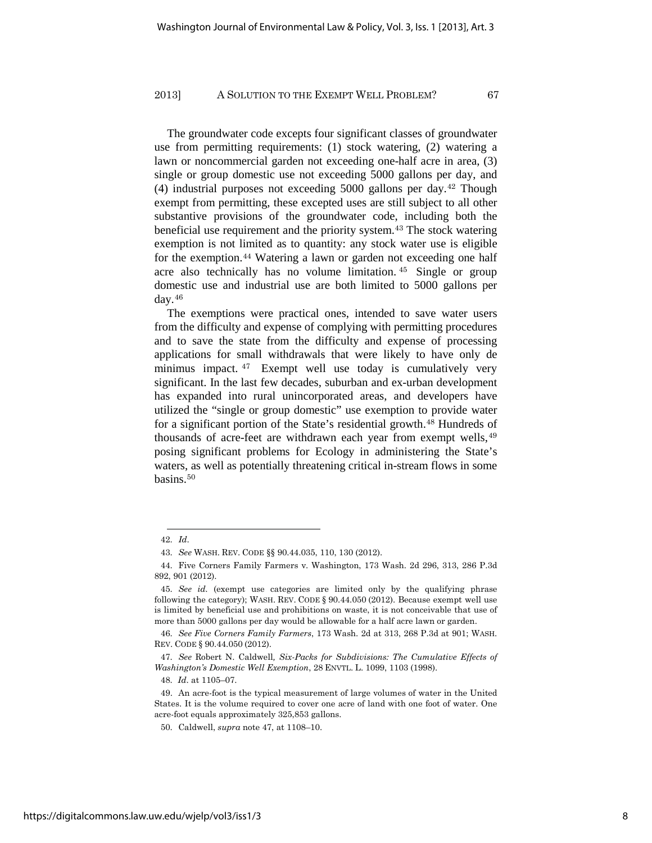The groundwater code excepts four significant classes of groundwater use from permitting requirements: (1) stock watering, (2) watering a lawn or noncommercial garden not exceeding one-half acre in area, (3) single or group domestic use not exceeding 5000 gallons per day, and (4) industrial purposes not exceeding 5000 gallons per day.<sup>42</sup> Though exempt from permitting, these excepted uses are still subject to all other substantive provisions of the groundwater code, including both the beneficial use requirement and the priority system.<sup>43</sup> The stock watering exemption is not limited as to quantity: any stock water use is eligible for the exemption.<sup>44</sup> Watering a lawn or garden not exceeding one half acre also technically has no volume limitation. <sup>45</sup> Single or group domestic use and industrial use are both limited to 5000 gallons per day.<sup>46</sup>

The exemptions were practical ones, intended to save water users from the difficulty and expense of complying with permitting procedures and to save the state from the difficulty and expense of processing applications for small withdrawals that were likely to have only de minimus impact. <sup>47</sup> Exempt well use today is cumulatively very significant. In the last few decades, suburban and ex-urban development has expanded into rural unincorporated areas, and developers have utilized the "single or group domestic" use exemption to provide water for a significant portion of the State's residential growth.<sup>48</sup> Hundreds of thousands of acre-feet are withdrawn each year from exempt wells, 49 posing significant problems for Ecology in administering the State's waters, as well as potentially threatening critical in-stream flows in some basins.<sup>50</sup>

48. *Id*. at 1105–07.

<sup>42.</sup> *Id*.

<sup>43.</sup> *See* WASH. REV. CODE §§ 90.44.035, 110, 130 (2012).

<sup>44.</sup> Five Corners Family Farmers v. Washington, 173 Wash. 2d 296, 313, 286 P.3d 892, 901 (2012).

<sup>45.</sup> *See id*. (exempt use categories are limited only by the qualifying phrase following the category); WASH. REV. CODE § 90.44.050 (2012). Because exempt well use is limited by beneficial use and prohibitions on waste, it is not conceivable that use of more than 5000 gallons per day would be allowable for a half acre lawn or garden.

<sup>46.</sup> *See Five Corners Family Farmers*, 173 Wash. 2d at 313, 268 P.3d at 901; WASH. REV. CODE § 90.44.050 (2012).

<sup>47.</sup> *See* Robert N. Caldwell*, Six-Packs for Subdivisions: The Cumulative Effects of Washington's Domestic Well Exemption*, 28 ENVTL. L. 1099, 1103 (1998).

<sup>49.</sup> An acre-foot is the typical measurement of large volumes of water in the United States. It is the volume required to cover one acre of land with one foot of water. One acre-foot equals approximately 325,853 gallons.

<sup>50.</sup> Caldwell, *supra* note 47, at 1108–10.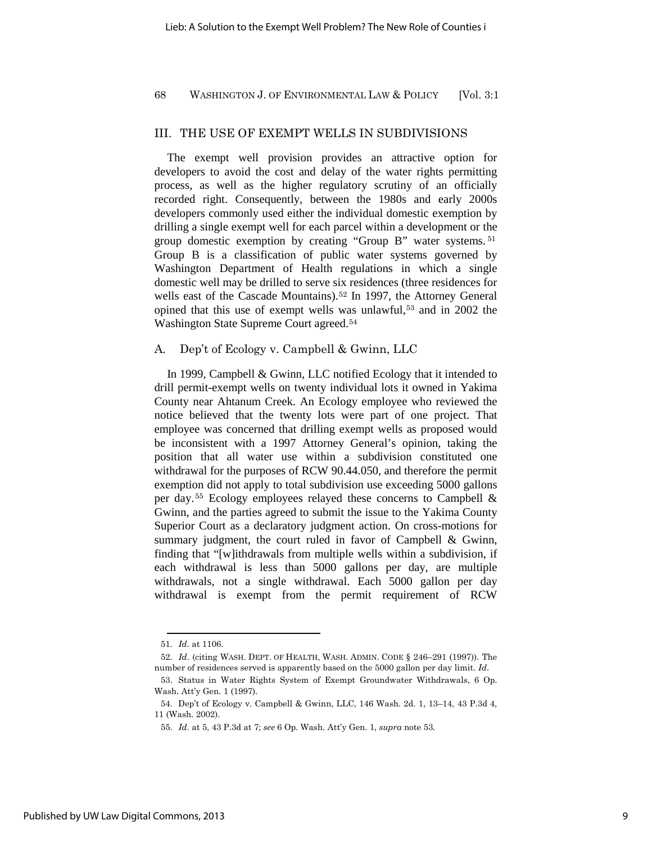## III. THE USE OF EXEMPT WELLS IN SUBDIVISIONS

The exempt well provision provides an attractive option for developers to avoid the cost and delay of the water rights permitting process, as well as the higher regulatory scrutiny of an officially recorded right. Consequently, between the 1980s and early 2000s developers commonly used either the individual domestic exemption by drilling a single exempt well for each parcel within a development or the group domestic exemption by creating "Group B" water systems. <sup>51</sup> Group B is a classification of public water systems governed by Washington Department of Health regulations in which a single domestic well may be drilled to serve six residences (three residences for wells east of the Cascade Mountains).<sup>52</sup> In 1997, the Attorney General opined that this use of exempt wells was unlawful,<sup>53</sup> and in 2002 the Washington State Supreme Court agreed.<sup>54</sup>

## A*.* Dep't of Ecology v. Campbell & Gwinn, LLC

In 1999, Campbell & Gwinn, LLC notified Ecology that it intended to drill permit-exempt wells on twenty individual lots it owned in Yakima County near Ahtanum Creek. An Ecology employee who reviewed the notice believed that the twenty lots were part of one project. That employee was concerned that drilling exempt wells as proposed would be inconsistent with a 1997 Attorney General's opinion, taking the position that all water use within a subdivision constituted one withdrawal for the purposes of RCW 90.44.050, and therefore the permit exemption did not apply to total subdivision use exceeding 5000 gallons per day.<sup>55</sup> Ecology employees relayed these concerns to Campbell & Gwinn, and the parties agreed to submit the issue to the Yakima County Superior Court as a declaratory judgment action. On cross-motions for summary judgment, the court ruled in favor of Campbell & Gwinn, finding that "[w]ithdrawals from multiple wells within a subdivision, if each withdrawal is less than 5000 gallons per day, are multiple withdrawals, not a single withdrawal. Each 5000 gallon per day withdrawal is exempt from the permit requirement of RCW

<sup>51.</sup> *Id*. at 1106.

<sup>52.</sup> *Id*. (citing WASH. DEPT. OF HEALTH, WASH. ADMIN. CODE § 246–291 (1997)). The number of residences served is apparently based on the 5000 gallon per day limit. *Id*.

<sup>53.</sup> Status in Water Rights System of Exempt Groundwater Withdrawals, 6 Op. Wash. Att'y Gen. 1 (1997).

<sup>54.</sup> Dep't of Ecology v. Campbell & Gwinn, LLC, 146 Wash. 2d. 1, 13–14, 43 P.3d 4, 11 (Wash. 2002).

<sup>55.</sup> *Id*. at 5, 43 P.3d at 7; *see* 6 Op. Wash. Att'y Gen. 1, *supra* note 53.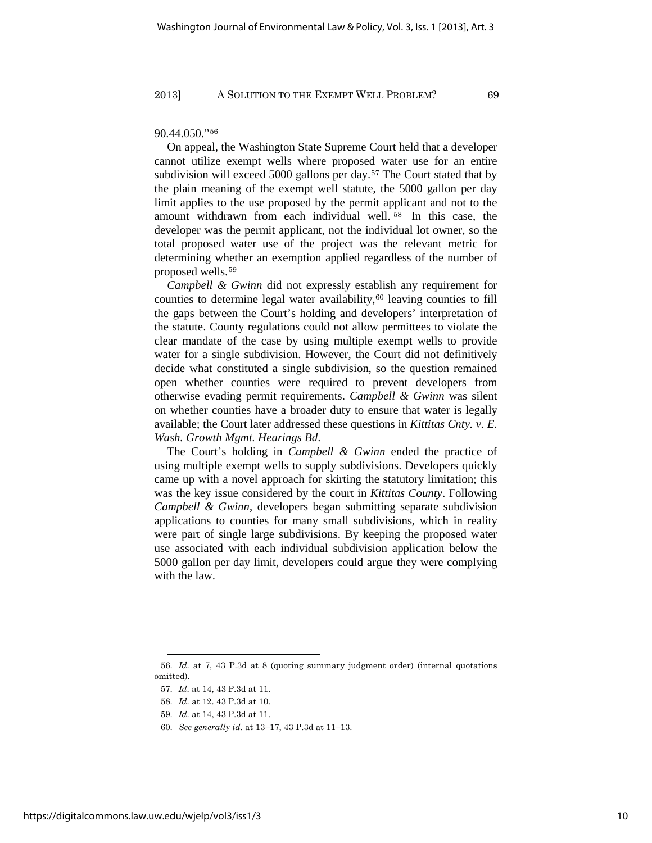## 90.44.050."<sup>56</sup>

On appeal, the Washington State Supreme Court held that a developer cannot utilize exempt wells where proposed water use for an entire subdivision will exceed 5000 gallons per day.<sup>57</sup> The Court stated that by the plain meaning of the exempt well statute, the 5000 gallon per day limit applies to the use proposed by the permit applicant and not to the amount withdrawn from each individual well. <sup>58</sup> In this case, the developer was the permit applicant, not the individual lot owner, so the total proposed water use of the project was the relevant metric for determining whether an exemption applied regardless of the number of proposed wells.<sup>59</sup>

*Campbell & Gwinn* did not expressly establish any requirement for counties to determine legal water availability, $60$  leaving counties to fill the gaps between the Court's holding and developers' interpretation of the statute. County regulations could not allow permittees to violate the clear mandate of the case by using multiple exempt wells to provide water for a single subdivision. However, the Court did not definitively decide what constituted a single subdivision, so the question remained open whether counties were required to prevent developers from otherwise evading permit requirements. *Campbell & Gwinn* was silent on whether counties have a broader duty to ensure that water is legally available; the Court later addressed these questions in *Kittitas Cnty. v. E. Wash. Growth Mgmt. Hearings Bd*.

The Court's holding in *Campbell & Gwinn* ended the practice of using multiple exempt wells to supply subdivisions. Developers quickly came up with a novel approach for skirting the statutory limitation; this was the key issue considered by the court in *Kittitas County*. Following *Campbell & Gwinn*, developers began submitting separate subdivision applications to counties for many small subdivisions, which in reality were part of single large subdivisions. By keeping the proposed water use associated with each individual subdivision application below the 5000 gallon per day limit, developers could argue they were complying with the law.

<sup>56.</sup> *Id*. at 7, 43 P.3d at 8 (quoting summary judgment order) (internal quotations omitted).

<sup>57.</sup> *Id*. at 14, 43 P.3d at 11.

<sup>58.</sup> *Id*. at 12. 43 P.3d at 10.

<sup>59.</sup> *Id*. at 14, 43 P.3d at 11.

<sup>60.</sup> *See generally id*. at 13–17, 43 P.3d at 11–13.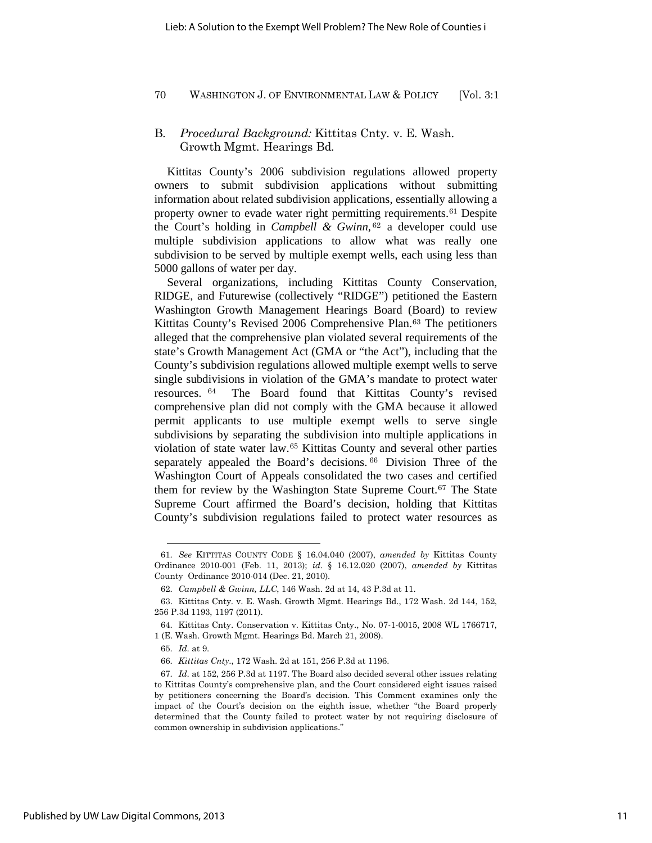## B*. Procedural Background:* Kittitas Cnty*.* v. E*.* Wash*.* Growth Mgmt*.* Hearings Bd*.*

Kittitas County's 2006 subdivision regulations allowed property owners to submit subdivision applications without submitting information about related subdivision applications, essentially allowing a property owner to evade water right permitting requirements.<sup>61</sup> Despite the Court's holding in *Campbell & Gwinn*, <sup>62</sup> a developer could use multiple subdivision applications to allow what was really one subdivision to be served by multiple exempt wells, each using less than 5000 gallons of water per day.

Several organizations, including Kittitas County Conservation, RIDGE, and Futurewise (collectively "RIDGE") petitioned the Eastern Washington Growth Management Hearings Board (Board) to review Kittitas County's Revised 2006 Comprehensive Plan.<sup>63</sup> The petitioners alleged that the comprehensive plan violated several requirements of the state's Growth Management Act (GMA or "the Act"), including that the County's subdivision regulations allowed multiple exempt wells to serve single subdivisions in violation of the GMA's mandate to protect water resources. <sup>64</sup> The Board found that Kittitas County's revised comprehensive plan did not comply with the GMA because it allowed permit applicants to use multiple exempt wells to serve single subdivisions by separating the subdivision into multiple applications in violation of state water law.<sup>65</sup> Kittitas County and several other parties separately appealed the Board's decisions. 66 Division Three of the Washington Court of Appeals consolidated the two cases and certified them for review by the Washington State Supreme Court.<sup>67</sup> The State Supreme Court affirmed the Board's decision, holding that Kittitas County's subdivision regulations failed to protect water resources as

<sup>61.</sup> *See* KITTITAS COUNTY CODE § 16.04.040 (2007), *amended by* Kittitas County Ordinance 2010-001 (Feb. 11, 2013); *id.* § 16.12.020 (2007), *amended by* Kittitas County Ordinance 2010-014 (Dec. 21, 2010).

<sup>62.</sup> *Campbell & Gwinn, LLC*, 146 Wash. 2d at 14, 43 P.3d at 11.

<sup>63.</sup> Kittitas Cnty. v. E. Wash. Growth Mgmt. Hearings Bd., 172 Wash. 2d 144, 152, 256 P.3d 1193, 1197 (2011).

<sup>64.</sup> Kittitas Cnty. Conservation v. Kittitas Cnty., No. 07-1-0015, 2008 WL 1766717, 1 (E. Wash. Growth Mgmt. Hearings Bd. March 21, 2008).

<sup>65.</sup> *Id*. at 9.

<sup>66.</sup> *Kittitas Cnty*., 172 Wash. 2d at 151, 256 P.3d at 1196.

<sup>67.</sup> *Id*. at 152, 256 P.3d at 1197. The Board also decided several other issues relating to Kittitas County's comprehensive plan, and the Court considered eight issues raised by petitioners concerning the Board's decision. This Comment examines only the impact of the Court's decision on the eighth issue, whether "the Board properly determined that the County failed to protect water by not requiring disclosure of common ownership in subdivision applications."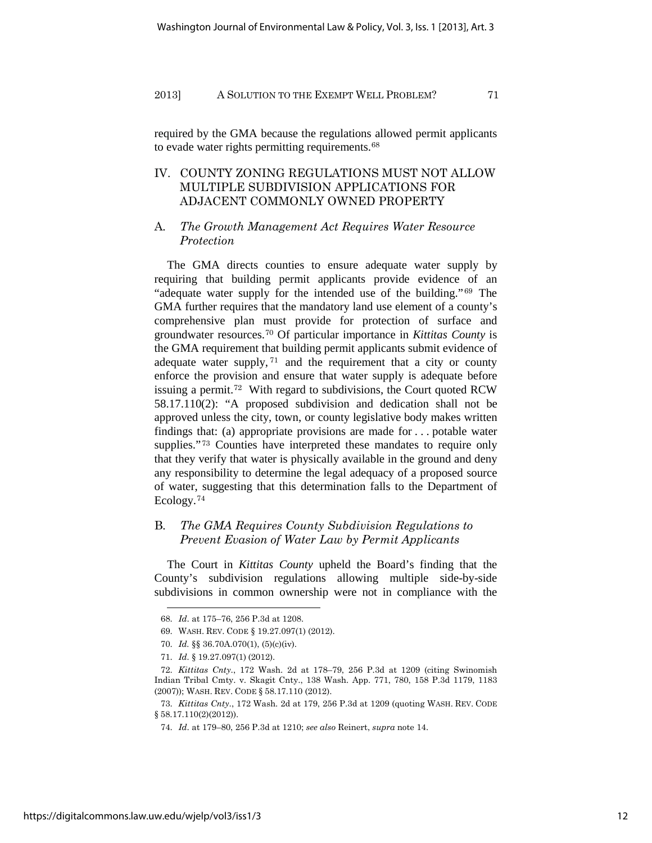required by the GMA because the regulations allowed permit applicants to evade water rights permitting requirements.<sup>68</sup>

## IV. COUNTY ZONING REGULATIONS MUST NOT ALLOW MULTIPLE SUBDIVISION APPLICATIONS FOR ADJACENT COMMONLY OWNED PROPERTY

## A*. The Growth Management Act Requires Water Resource Protection*

The GMA directs counties to ensure adequate water supply by requiring that building permit applicants provide evidence of an "adequate water supply for the intended use of the building."<sup>69</sup> The GMA further requires that the mandatory land use element of a county's comprehensive plan must provide for protection of surface and groundwater resources.<sup>70</sup> Of particular importance in *Kittitas County* is the GMA requirement that building permit applicants submit evidence of adequate water supply,  $71$  and the requirement that a city or county enforce the provision and ensure that water supply is adequate before issuing a permit.<sup>72</sup> With regard to subdivisions, the Court quoted RCW 58.17.110(2): "A proposed subdivision and dedication shall not be approved unless the city, town, or county legislative body makes written findings that: (a) appropriate provisions are made for . . . potable water supplies."<sup>73</sup> Counties have interpreted these mandates to require only that they verify that water is physically available in the ground and deny any responsibility to determine the legal adequacy of a proposed source of water, suggesting that this determination falls to the Department of Ecology.<sup>74</sup>

## B*. The GMA Requires County Subdivision Regulations to Prevent Evasion of Water Law by Permit Applicants*

The Court in *Kittitas County* upheld the Board's finding that the County's subdivision regulations allowing multiple side-by-side subdivisions in common ownership were not in compliance with the

<sup>68.</sup> *Id*. at 175–76, 256 P.3d at 1208.

<sup>69.</sup> WASH. REV. CODE § 19.27.097(1) (2012).

<sup>70.</sup> *Id.* §§ 36.70A.070(1), (5)(c)(iv).

<sup>71.</sup> *Id.* § 19.27.097(1) (2012).

<sup>72.</sup> *Kittitas Cnty*., 172 Wash. 2d at 178–79, 256 P.3d at 1209 (citing Swinomish Indian Tribal Cmty. v. Skagit Cnty., 138 Wash. App. 771, 780, 158 P.3d 1179, 1183 (2007)); WASH. REV. CODE § 58.17.110 (2012).

<sup>73.</sup> *Kittitas Cnty*., 172 Wash. 2d at 179, 256 P.3d at 1209 (quoting WASH. REV. CODE § 58.17.110(2)(2012)).

<sup>74.</sup> *Id*. at 179–80, 256 P.3d at 1210; *see also* Reinert, *supra* note 14.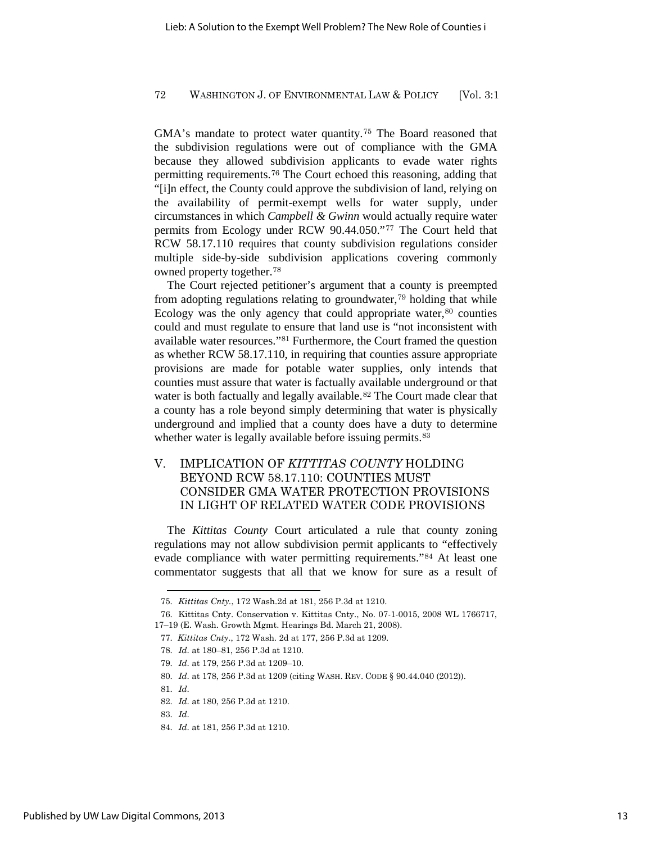GMA's mandate to protect water quantity.<sup>75</sup> The Board reasoned that the subdivision regulations were out of compliance with the GMA because they allowed subdivision applicants to evade water rights permitting requirements.<sup>76</sup> The Court echoed this reasoning, adding that "[i]n effect, the County could approve the subdivision of land, relying on the availability of permit-exempt wells for water supply, under circumstances in which *Campbell & Gwinn* would actually require water permits from Ecology under RCW 90.44.050."<sup>77</sup> The Court held that RCW 58.17.110 requires that county subdivision regulations consider multiple side-by-side subdivision applications covering commonly owned property together.<sup>78</sup>

The Court rejected petitioner's argument that a county is preempted from adopting regulations relating to groundwater,<sup>79</sup> holding that while Ecology was the only agency that could appropriate water, $80$  counties could and must regulate to ensure that land use is "not inconsistent with available water resources."<sup>81</sup> Furthermore, the Court framed the question as whether RCW 58.17.110, in requiring that counties assure appropriate provisions are made for potable water supplies, only intends that counties must assure that water is factually available underground or that water is both factually and legally available.<sup>82</sup> The Court made clear that a county has a role beyond simply determining that water is physically underground and implied that a county does have a duty to determine whether water is legally available before issuing permits.<sup>83</sup>

## V. IMPLICATION OF *KITTITAS COUNTY* HOLDING BEYOND RCW 58.17.110: COUNTIES MUST CONSIDER GMA WATER PROTECTION PROVISIONS IN LIGHT OF RELATED WATER CODE PROVISIONS

The *Kittitas County* Court articulated a rule that county zoning regulations may not allow subdivision permit applicants to "effectively evade compliance with water permitting requirements."<sup>84</sup> At least one commentator suggests that all that we know for sure as a result of

<sup>75.</sup> *Kittitas Cnty.*, 172 Wash.2d at 181, 256 P.3d at 1210.

<sup>76.</sup> Kittitas Cnty. Conservation v. Kittitas Cnty., No. 07-1-0015, 2008 WL 1766717, 17–19 (E. Wash. Growth Mgmt. Hearings Bd. March 21, 2008).

<sup>77.</sup> *Kittitas Cnty*., 172 Wash. 2d at 177, 256 P.3d at 1209.

<sup>78.</sup> *Id*. at 180–81, 256 P.3d at 1210.

<sup>79.</sup> *Id*. at 179, 256 P.3d at 1209–10.

<sup>80.</sup> *Id*. at 178, 256 P.3d at 1209 (citing WASH. REV. CODE § 90.44.040 (2012)).

<sup>81.</sup> *Id*.

<sup>82.</sup> *Id*. at 180, 256 P.3d at 1210.

<sup>83.</sup> *Id*.

<sup>84.</sup> *Id*. at 181, 256 P.3d at 1210.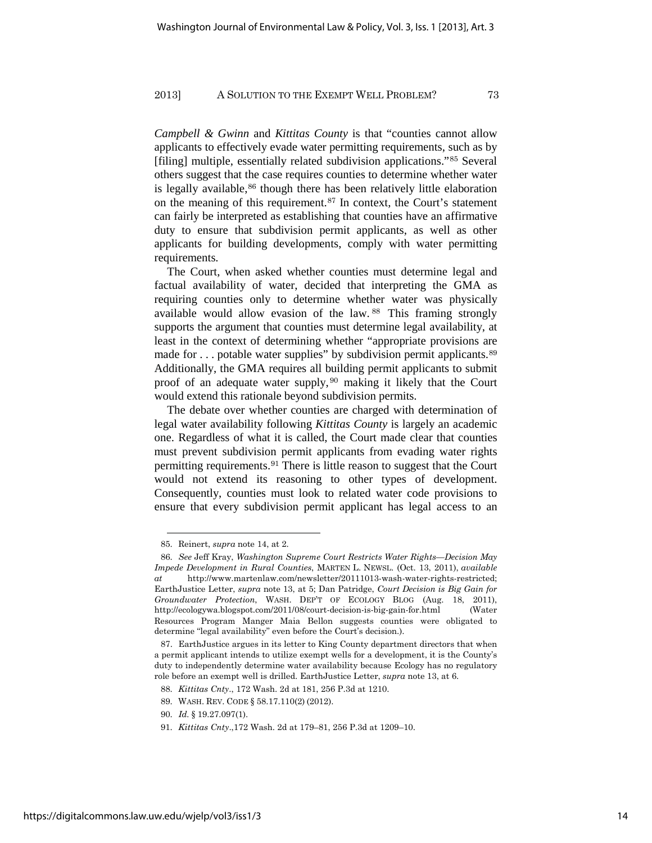*Campbell & Gwinn* and *Kittitas County* is that "counties cannot allow applicants to effectively evade water permitting requirements, such as by [filing] multiple, essentially related subdivision applications."<sup>85</sup> Several others suggest that the case requires counties to determine whether water is legally available,<sup>86</sup> though there has been relatively little elaboration on the meaning of this requirement.<sup>87</sup> In context, the Court's statement can fairly be interpreted as establishing that counties have an affirmative duty to ensure that subdivision permit applicants, as well as other applicants for building developments, comply with water permitting requirements.

The Court, when asked whether counties must determine legal and factual availability of water, decided that interpreting the GMA as requiring counties only to determine whether water was physically available would allow evasion of the law. <sup>88</sup> This framing strongly supports the argument that counties must determine legal availability, at least in the context of determining whether "appropriate provisions are made for ... potable water supplies" by subdivision permit applicants.<sup>89</sup> Additionally, the GMA requires all building permit applicants to submit proof of an adequate water supply, <sup>90</sup> making it likely that the Court would extend this rationale beyond subdivision permits.

The debate over whether counties are charged with determination of legal water availability following *Kittitas County* is largely an academic one. Regardless of what it is called, the Court made clear that counties must prevent subdivision permit applicants from evading water rights permitting requirements.<sup>91</sup> There is little reason to suggest that the Court would not extend its reasoning to other types of development. Consequently, counties must look to related water code provisions to ensure that every subdivision permit applicant has legal access to an

<sup>85.</sup> Reinert, *supra* note 14, at 2.

<sup>86.</sup> *See* Jeff Kray, *Washington Supreme Court Restricts Water Rights—Decision May Impede Development in Rural Counties*, MARTEN L. NEWSL. (Oct. 13, 2011), *available at* http://www.martenlaw.com/newsletter/20111013-wash-water-rights-restricted; EarthJustice Letter, *supra* note 13, at 5; Dan Patridge, *Court Decision is Big Gain for Groundwater Protection*, WASH. DEP'T OF ECOLOGY BLOG (Aug. 18, 2011), http://ecologywa.blogspot.com/2011/08/court-decision-is-big-gain-for.html (Water Resources Program Manger Maia Bellon suggests counties were obligated to determine "legal availability" even before the Court's decision.).

<sup>87.</sup> EarthJustice argues in its letter to King County department directors that when a permit applicant intends to utilize exempt wells for a development, it is the County's duty to independently determine water availability because Ecology has no regulatory role before an exempt well is drilled. EarthJustice Letter, *supra* note 13, at 6.

<sup>88.</sup> *Kittitas Cnty*., 172 Wash. 2d at 181, 256 P.3d at 1210.

<sup>89.</sup> WASH. REV. CODE § 58.17.110(2) (2012).

<sup>90.</sup> *Id.* § 19.27.097(1).

<sup>91.</sup> *Kittitas Cnty*.,172 Wash. 2d at 179–81, 256 P.3d at 1209–10.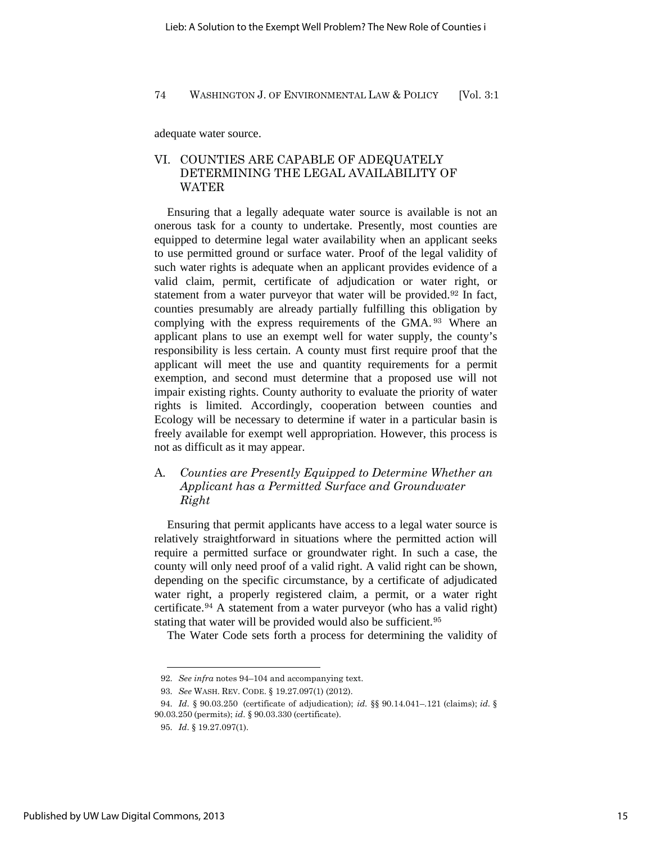adequate water source.

## VI. COUNTIES ARE CAPABLE OF ADEQUATELY DETERMINING THE LEGAL AVAILABILITY OF WATER

Ensuring that a legally adequate water source is available is not an onerous task for a county to undertake. Presently, most counties are equipped to determine legal water availability when an applicant seeks to use permitted ground or surface water. Proof of the legal validity of such water rights is adequate when an applicant provides evidence of a valid claim, permit, certificate of adjudication or water right, or statement from a water purveyor that water will be provided.<sup>92</sup> In fact, counties presumably are already partially fulfilling this obligation by complying with the express requirements of the GMA. <sup>93</sup> Where an applicant plans to use an exempt well for water supply, the county's responsibility is less certain. A county must first require proof that the applicant will meet the use and quantity requirements for a permit exemption, and second must determine that a proposed use will not impair existing rights. County authority to evaluate the priority of water rights is limited. Accordingly, cooperation between counties and Ecology will be necessary to determine if water in a particular basin is freely available for exempt well appropriation. However, this process is not as difficult as it may appear.

## A*. Counties are Presently Equipped to Determine Whether an Applicant has a Permitted Surface and Groundwater Right*

Ensuring that permit applicants have access to a legal water source is relatively straightforward in situations where the permitted action will require a permitted surface or groundwater right. In such a case, the county will only need proof of a valid right. A valid right can be shown, depending on the specific circumstance, by a certificate of adjudicated water right, a properly registered claim, a permit, or a water right certificate.<sup>94</sup> A statement from a water purveyor (who has a valid right) stating that water will be provided would also be sufficient.<sup>95</sup>

The Water Code sets forth a process for determining the validity of

<sup>92.</sup> *See infra* notes 94–104 and accompanying text.

<sup>93.</sup> *See* WASH. REV. CODE. § 19.27.097(1) (2012).

<sup>94.</sup> *Id*. § 90.03.250 (certificate of adjudication); *id*. §§ 90.14.041–.121 (claims); *id*. § 90.03.250 (permits); *id*. § 90.03.330 (certificate).

<sup>95.</sup> *Id*. § 19.27.097(1).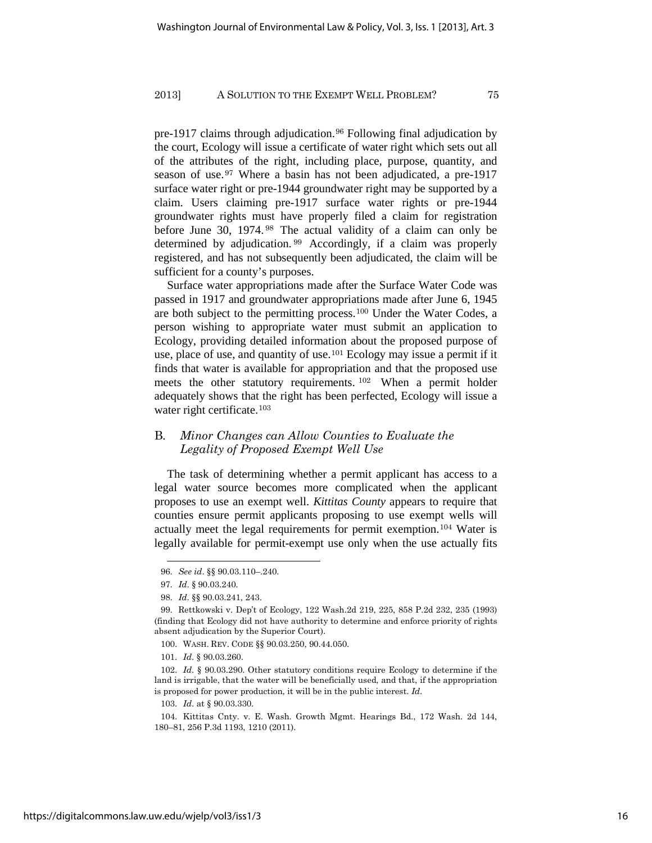pre-1917 claims through adjudication.<sup>96</sup> Following final adjudication by the court, Ecology will issue a certificate of water right which sets out all of the attributes of the right, including place, purpose, quantity, and season of use.<sup>97</sup> Where a basin has not been adjudicated, a pre-1917 surface water right or pre-1944 groundwater right may be supported by a claim. Users claiming pre-1917 surface water rights or pre-1944 groundwater rights must have properly filed a claim for registration before June 30, 1974. <sup>98</sup> The actual validity of a claim can only be determined by adjudication. <sup>99</sup> Accordingly, if a claim was properly registered, and has not subsequently been adjudicated, the claim will be sufficient for a county's purposes.

Surface water appropriations made after the Surface Water Code was passed in 1917 and groundwater appropriations made after June 6, 1945 are both subject to the permitting process.<sup>100</sup> Under the Water Codes, a person wishing to appropriate water must submit an application to Ecology, providing detailed information about the proposed purpose of use, place of use, and quantity of use.<sup>101</sup> Ecology may issue a permit if it finds that water is available for appropriation and that the proposed use meets the other statutory requirements. <sup>102</sup> When a permit holder adequately shows that the right has been perfected, Ecology will issue a water right certificate.<sup>103</sup>

## B*. Minor Changes can Allow Counties to Evaluate the Legality of Proposed Exempt Well Use*

The task of determining whether a permit applicant has access to a legal water source becomes more complicated when the applicant proposes to use an exempt well. *Kittitas County* appears to require that counties ensure permit applicants proposing to use exempt wells will actually meet the legal requirements for permit exemption.<sup>104</sup> Water is legally available for permit-exempt use only when the use actually fits

<sup>96.</sup> *See id*. §§ 90.03.110–.240.

<sup>97.</sup> *Id*. § 90.03.240.

<sup>98.</sup> *Id*. §§ 90.03.241, 243.

<sup>99.</sup> Rettkowski v. Dep't of Ecology, 122 Wash.2d 219, 225, 858 P.2d 232, 235 (1993) (finding that Ecology did not have authority to determine and enforce priority of rights absent adjudication by the Superior Court).

 <sup>100.</sup> WASH. REV. CODE §§ 90.03.250, 90.44.050.

 <sup>101.</sup> *Id*. § 90.03.260.

 <sup>102.</sup> *Id*. § 90.03.290. Other statutory conditions require Ecology to determine if the land is irrigable, that the water will be beneficially used, and that, if the appropriation is proposed for power production, it will be in the public interest. *Id*.

 <sup>103.</sup> *Id*. at § 90.03.330.

 <sup>104.</sup> Kittitas Cnty. v. E. Wash. Growth Mgmt. Hearings Bd., 172 Wash. 2d 144, 180–81, 256 P.3d 1193, 1210 (2011).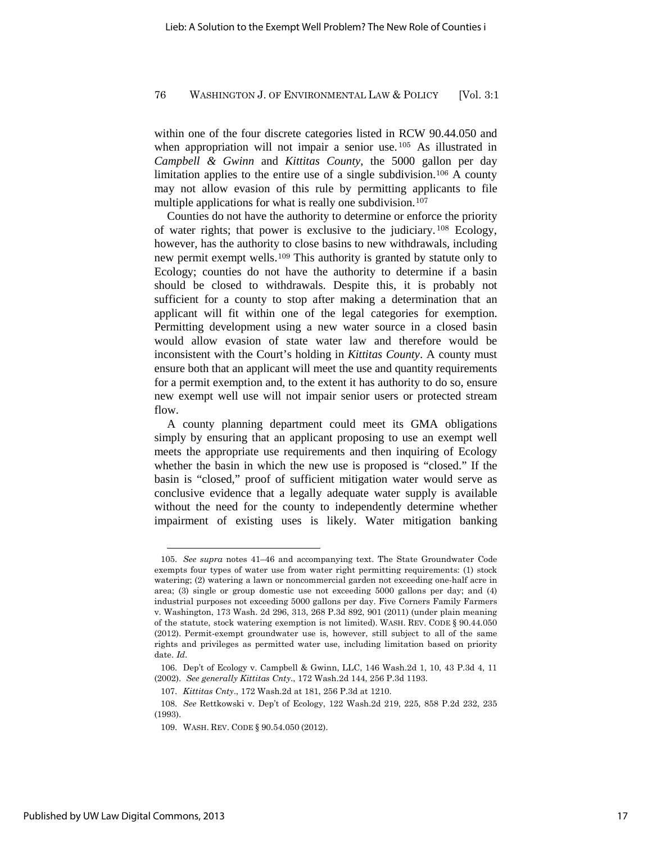within one of the four discrete categories listed in RCW 90.44.050 and when appropriation will not impair a senior use.<sup>105</sup> As illustrated in *Campbell & Gwinn* and *Kittitas County*, the 5000 gallon per day limitation applies to the entire use of a single subdivision.<sup>106</sup> A county may not allow evasion of this rule by permitting applicants to file multiple applications for what is really one subdivision.<sup>107</sup>

Counties do not have the authority to determine or enforce the priority of water rights; that power is exclusive to the judiciary. <sup>108</sup> Ecology, however, has the authority to close basins to new withdrawals, including new permit exempt wells.<sup>109</sup> This authority is granted by statute only to Ecology; counties do not have the authority to determine if a basin should be closed to withdrawals. Despite this, it is probably not sufficient for a county to stop after making a determination that an applicant will fit within one of the legal categories for exemption. Permitting development using a new water source in a closed basin would allow evasion of state water law and therefore would be inconsistent with the Court's holding in *Kittitas County*. A county must ensure both that an applicant will meet the use and quantity requirements for a permit exemption and, to the extent it has authority to do so, ensure new exempt well use will not impair senior users or protected stream flow.

A county planning department could meet its GMA obligations simply by ensuring that an applicant proposing to use an exempt well meets the appropriate use requirements and then inquiring of Ecology whether the basin in which the new use is proposed is "closed." If the basin is "closed," proof of sufficient mitigation water would serve as conclusive evidence that a legally adequate water supply is available without the need for the county to independently determine whether impairment of existing uses is likely. Water mitigation banking

 <sup>105.</sup> *See supra* notes 41–46 and accompanying text. The State Groundwater Code exempts four types of water use from water right permitting requirements: (1) stock watering; (2) watering a lawn or noncommercial garden not exceeding one-half acre in area; (3) single or group domestic use not exceeding 5000 gallons per day; and (4) industrial purposes not exceeding 5000 gallons per day. Five Corners Family Farmers v. Washington, 173 Wash. 2d 296, 313, 268 P.3d 892, 901 (2011) (under plain meaning of the statute, stock watering exemption is not limited). WASH. REV. CODE § 90.44.050 (2012). Permit-exempt groundwater use is, however, still subject to all of the same rights and privileges as permitted water use, including limitation based on priority date. *Id*.

 <sup>106.</sup> Dep't of Ecology v. Campbell & Gwinn, LLC, 146 Wash.2d 1, 10, 43 P.3d 4, 11 (2002). *See generally Kittitas Cnty*., 172 Wash.2d 144, 256 P.3d 1193.

 <sup>107.</sup> *Kittitas Cnty*., 172 Wash.2d at 181, 256 P.3d at 1210.

 <sup>108.</sup> *See* Rettkowski v. Dep't of Ecology, 122 Wash.2d 219, 225, 858 P.2d 232, 235 (1993).

 <sup>109.</sup> WASH. REV. CODE § 90.54.050 (2012).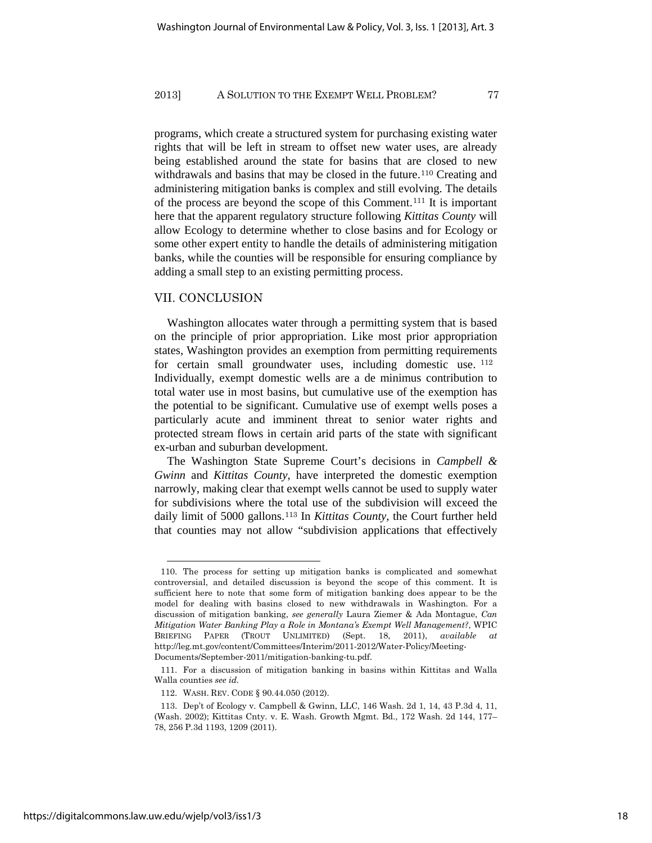programs, which create a structured system for purchasing existing water rights that will be left in stream to offset new water uses, are already being established around the state for basins that are closed to new withdrawals and basins that may be closed in the future.<sup>110</sup> Creating and administering mitigation banks is complex and still evolving. The details of the process are beyond the scope of this Comment.<sup>111</sup> It is important here that the apparent regulatory structure following *Kittitas County* will allow Ecology to determine whether to close basins and for Ecology or some other expert entity to handle the details of administering mitigation banks, while the counties will be responsible for ensuring compliance by adding a small step to an existing permitting process.

## VII. CONCLUSION

Washington allocates water through a permitting system that is based on the principle of prior appropriation. Like most prior appropriation states, Washington provides an exemption from permitting requirements for certain small groundwater uses, including domestic use. <sup>112</sup> Individually, exempt domestic wells are a de minimus contribution to total water use in most basins, but cumulative use of the exemption has the potential to be significant. Cumulative use of exempt wells poses a particularly acute and imminent threat to senior water rights and protected stream flows in certain arid parts of the state with significant ex-urban and suburban development.

The Washington State Supreme Court's decisions in *Campbell & Gwinn* and *Kittitas County*, have interpreted the domestic exemption narrowly, making clear that exempt wells cannot be used to supply water for subdivisions where the total use of the subdivision will exceed the daily limit of 5000 gallons.<sup>113</sup> In *Kittitas County*, the Court further held that counties may not allow "subdivision applications that effectively

 <sup>110.</sup> The process for setting up mitigation banks is complicated and somewhat controversial, and detailed discussion is beyond the scope of this comment. It is sufficient here to note that some form of mitigation banking does appear to be the model for dealing with basins closed to new withdrawals in Washington. For a discussion of mitigation banking, *see generally* Laura Ziemer & Ada Montague, *Can Mitigation Water Banking Play a Role in Montana's Exempt Well Management?*, WPIC BRIEFING PAPER (TROUT UNLIMITED) (Sept. 18, 2011), *available at* http://leg.mt.gov/content/Committees/Interim/2011-2012/Water-Policy/Meeting-Documents/September-2011/mitigation-banking-tu.pdf.

 <sup>111.</sup> For a discussion of mitigation banking in basins within Kittitas and Walla Walla counties *see id.*

 <sup>112.</sup> WASH. REV. CODE § 90.44.050 (2012).

 <sup>113.</sup> Dep't of Ecology v. Campbell & Gwinn, LLC, 146 Wash. 2d 1, 14, 43 P.3d 4, 11, (Wash. 2002); Kittitas Cnty. v. E. Wash. Growth Mgmt. Bd., 172 Wash. 2d 144, 177– 78, 256 P.3d 1193, 1209 (2011).